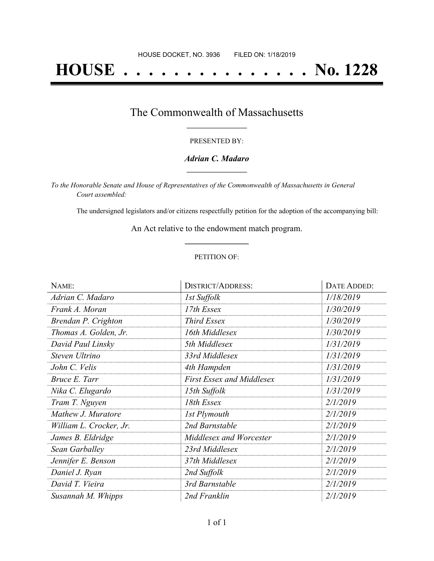# **HOUSE . . . . . . . . . . . . . . . No. 1228**

### The Commonwealth of Massachusetts **\_\_\_\_\_\_\_\_\_\_\_\_\_\_\_\_\_**

#### PRESENTED BY:

#### *Adrian C. Madaro* **\_\_\_\_\_\_\_\_\_\_\_\_\_\_\_\_\_**

*To the Honorable Senate and House of Representatives of the Commonwealth of Massachusetts in General Court assembled:*

The undersigned legislators and/or citizens respectfully petition for the adoption of the accompanying bill:

An Act relative to the endowment match program. **\_\_\_\_\_\_\_\_\_\_\_\_\_\_\_**

#### PETITION OF:

| NAME:                   | <b>DISTRICT/ADDRESS:</b>         | DATE ADDED: |
|-------------------------|----------------------------------|-------------|
| Adrian C. Madaro        | 1st Suffolk                      | 1/18/2019   |
| Frank A. Moran          | 17th Essex                       | 1/30/2019   |
| Brendan P. Crighton     | <b>Third Essex</b>               | 1/30/2019   |
| Thomas A. Golden, Jr.   | 16th Middlesex                   | 1/30/2019   |
| David Paul Linsky       | 5th Middlesex                    | 1/31/2019   |
| Steven Ultrino          | 33rd Middlesex                   | 1/31/2019   |
| John C. Velis           | 4th Hampden                      | 1/31/2019   |
| Bruce E. Tarr           | <b>First Essex and Middlesex</b> | 1/31/2019   |
| Nika C. Elugardo        | 15th Suffolk                     | 1/31/2019   |
| Tram T. Nguyen          | 18th Essex                       | 2/1/2019    |
| Mathew J. Muratore      | 1st Plymouth                     | 2/1/2019    |
| William L. Crocker, Jr. | 2nd Barnstable                   | 2/1/2019    |
| James B. Eldridge       | Middlesex and Worcester          | 2/1/2019    |
| Sean Garballey          | 23rd Middlesex                   | 2/1/2019    |
| Jennifer E. Benson      | 37th Middlesex                   | 2/1/2019    |
| Daniel J. Ryan          | 2nd Suffolk                      | 2/1/2019    |
| David T. Vieira         | 3rd Barnstable                   | 2/1/2019    |
| Susannah M. Whipps      | 2nd Franklin                     | 2/1/2019    |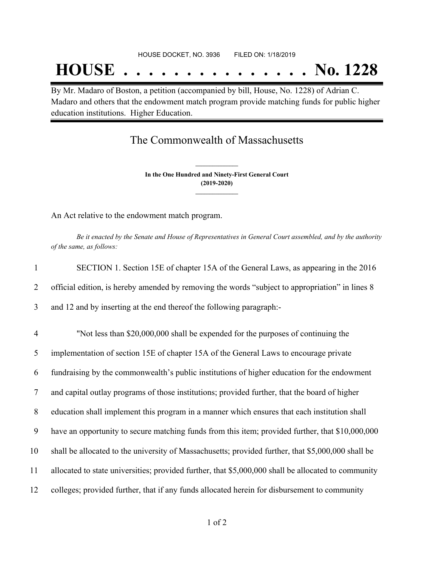## **HOUSE . . . . . . . . . . . . . . . No. 1228**

By Mr. Madaro of Boston, a petition (accompanied by bill, House, No. 1228) of Adrian C. Madaro and others that the endowment match program provide matching funds for public higher education institutions. Higher Education.

## The Commonwealth of Massachusetts

**In the One Hundred and Ninety-First General Court (2019-2020) \_\_\_\_\_\_\_\_\_\_\_\_\_\_\_**

**\_\_\_\_\_\_\_\_\_\_\_\_\_\_\_**

An Act relative to the endowment match program.

Be it enacted by the Senate and House of Representatives in General Court assembled, and by the authority *of the same, as follows:*

| $\mathbf{1}$   | SECTION 1. Section 15E of chapter 15A of the General Laws, as appearing in the 2016                 |
|----------------|-----------------------------------------------------------------------------------------------------|
| 2              | official edition, is hereby amended by removing the words "subject to appropriation" in lines 8     |
| 3              | and 12 and by inserting at the end thereof the following paragraph:-                                |
| $\overline{4}$ | "Not less than \$20,000,000 shall be expended for the purposes of continuing the                    |
| 5              | implementation of section 15E of chapter 15A of the General Laws to encourage private               |
| 6              | fundraising by the commonwealth's public institutions of higher education for the endowment         |
| 7              | and capital outlay programs of those institutions; provided further, that the board of higher       |
| 8              | education shall implement this program in a manner which ensures that each institution shall        |
| 9              | have an opportunity to secure matching funds from this item; provided further, that \$10,000,000    |
| 10             | shall be allocated to the university of Massachusetts; provided further, that \$5,000,000 shall be  |
| 11             | allocated to state universities; provided further, that \$5,000,000 shall be allocated to community |
| 12             | colleges; provided further, that if any funds allocated herein for disbursement to community        |